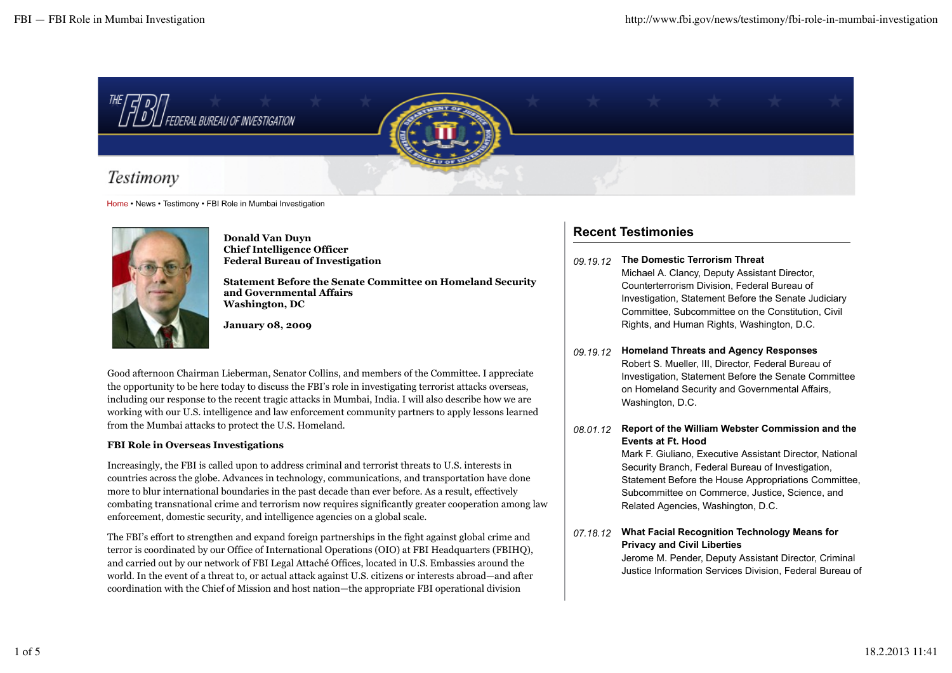

Home • News • Testimony • FBI Role in Mumbai Investigation



**Donald Van Duyn Chief Intelligence Officer Federal Bureau of Investigation**

**Statement Before the Senate Committee on Homeland Security and Governmental Affairs Washington, DC**

**January 08, 2009**

Good afternoon Chairman Lieberman, Senator Collins, and members of the Committee. I appreciate the opportunity to be here today to discuss the FBI's role in investigating terrorist attacks overseas, including our response to the recent tragic attacks in Mumbai, India. I will also describe how we are working with our U.S. intelligence and law enforcement community partners to apply lessons learned from the Mumbai attacks to protect the U.S. Homeland.

# **FBI Role in Overseas Investigations**

Increasingly, the FBI is called upon to address criminal and terrorist threats to U.S. interests in countries across the globe. Advances in technology, communications, and transportation have done more to blur international boundaries in the past decade than ever before. As a result, effectively combating transnational crime and terrorism now requires significantly greater cooperation among law enforcement, domestic security, and intelligence agencies on a global scale.

The FBI's effort to strengthen and expand foreign partnerships in the fight against global crime and terror is coordinated by our Office of International Operations (OIO) at FBI Headquarters (FBIHQ), and carried out by our network of FBI Legal Attaché Offices, located in U.S. Embassies around the world. In the event of a threat to, or actual attack against U.S. citizens or interests abroad—and after coordination with the Chief of Mission and host nation—the appropriate FBI operational division

# **Recent Testimonies**

- *09.19.12* **The Domestic Terrorism Threat** Michael A. Clancy, Deputy Assistant Director, Counterterrorism Division, Federal Bureau of Investigation, Statement Before the Senate Judiciary Committee, Subcommittee on the Constitution, Civil Rights, and Human Rights, Washington, D.C.
- *09.19.12* **Homeland Threats and Agency Responses** Robert S. Mueller, III, Director, Federal Bureau of Investigation, Statement Before the Senate Committee on Homeland Security and Governmental Affairs, Washington, D.C.
- *08.01.12* **Report of the William Webster Commission and the Events at Ft. Hood**

Mark F. Giuliano, Executive Assistant Director, National Security Branch, Federal Bureau of Investigation, Statement Before the House Appropriations Committee, Subcommittee on Commerce, Justice, Science, and Related Agencies, Washington, D.C.

*07.18.12* **What Facial Recognition Technology Means for Privacy and Civil Liberties**

Jerome M. Pender, Deputy Assistant Director, Criminal Justice Information Services Division, Federal Bureau of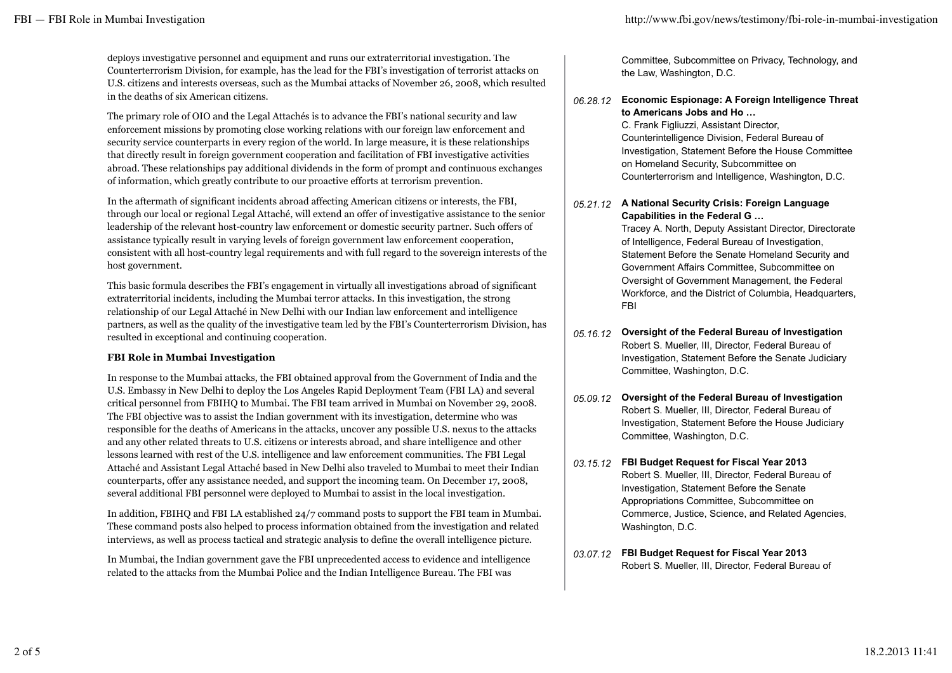deploys investigative personnel and equipment and runs our extraterritorial investigation. The Counterterrorism Division, for example, has the lead for the FBI's investigation of terrorist attacks on U.S. citizens and interests overseas, such as the Mumbai attacks of November 26, 2008, which resulted in the deaths of six American citizens.

The primary role of OIO and the Legal Attachés is to advance the FBI's national security and law enforcement missions by promoting close working relations with our foreign law enforcement and security service counterparts in every region of the world. In large measure, it is these relationships that directly result in foreign government cooperation and facilitation of FBI investigative activities abroad. These relationships pay additional dividends in the form of prompt and continuous exchanges of information, which greatly contribute to our proactive efforts at terrorism prevention.

In the aftermath of significant incidents abroad affecting American citizens or interests, the FBI, through our local or regional Legal Attaché, will extend an offer of investigative assistance to the senior leadership of the relevant host-country law enforcement or domestic security partner. Such offers of assistance typically result in varying levels of foreign government law enforcement cooperation, consistent with all host-country legal requirements and with full regard to the sovereign interests of the host government.

This basic formula describes the FBI's engagement in virtually all investigations abroad of significant extraterritorial incidents, including the Mumbai terror attacks. In this investigation, the strong relationship of our Legal Attaché in New Delhi with our Indian law enforcement and intelligence partners, as well as the quality of the investigative team led by the FBI's Counterterrorism Division, has resulted in exceptional and continuing cooperation.

# **FBI Role in Mumbai Investigation**

In response to the Mumbai attacks, the FBI obtained approval from the Government of India and the U.S. Embassy in New Delhi to deploy the Los Angeles Rapid Deployment Team (FBI LA) and several critical personnel from FBIHQ to Mumbai. The FBI team arrived in Mumbai on November 29, 2008. The FBI objective was to assist the Indian government with its investigation, determine who was responsible for the deaths of Americans in the attacks, uncover any possible U.S. nexus to the attacks and any other related threats to U.S. citizens or interests abroad, and share intelligence and other lessons learned with rest of the U.S. intelligence and law enforcement communities. The FBI Legal Attaché and Assistant Legal Attaché based in New Delhi also traveled to Mumbai to meet their Indian counterparts, offer any assistance needed, and support the incoming team. On December 17, 2008, several additional FBI personnel were deployed to Mumbai to assist in the local investigation.

In addition, FBIHQ and FBI LA established 24/7 command posts to support the FBI team in Mumbai. These command posts also helped to process information obtained from the investigation and related interviews, as well as process tactical and strategic analysis to define the overall intelligence picture.

In Mumbai, the Indian government gave the FBI unprecedented access to evidence and intelligence related to the attacks from the Mumbai Police and the Indian Intelligence Bureau. The FBI was

Committee, Subcommittee on Privacy, Technology, and the Law, Washington, D.C.

#### *06.28.12* **Economic Espionage: A Foreign Intelligence Threat to Americans Jobs and Ho …**

C. Frank Figliuzzi, Assistant Director, Counterintelligence Division, Federal Bureau of Investigation, Statement Before the House Committee on Homeland Security, Subcommittee on Counterterrorism and Intelligence, Washington, D.C.

#### *05.21.12* **A National Security Crisis: Foreign Language Capabilities in the Federal G …**

Tracey A. North, Deputy Assistant Director, Directorate of Intelligence, Federal Bureau of Investigation, Statement Before the Senate Homeland Security and Government Affairs Committee, Subcommittee on Oversight of Government Management, the Federal Workforce, and the District of Columbia, Headquarters, FBI

- *05.16.12* **Oversight of the Federal Bureau of Investigation** Robert S. Mueller, III, Director, Federal Bureau of Investigation, Statement Before the Senate Judiciary Committee, Washington, D.C.
- *05.09.12* **Oversight of the Federal Bureau of Investigation** Robert S. Mueller, III, Director, Federal Bureau of Investigation, Statement Before the House Judiciary Committee, Washington, D.C.
- *03.15.12* **FBI Budget Request for Fiscal Year 2013** Robert S. Mueller, III, Director, Federal Bureau of Investigation, Statement Before the Senate Appropriations Committee, Subcommittee on Commerce, Justice, Science, and Related Agencies, Washington, D.C.
- *03.07.12* **FBI Budget Request for Fiscal Year 2013** Robert S. Mueller, III, Director, Federal Bureau of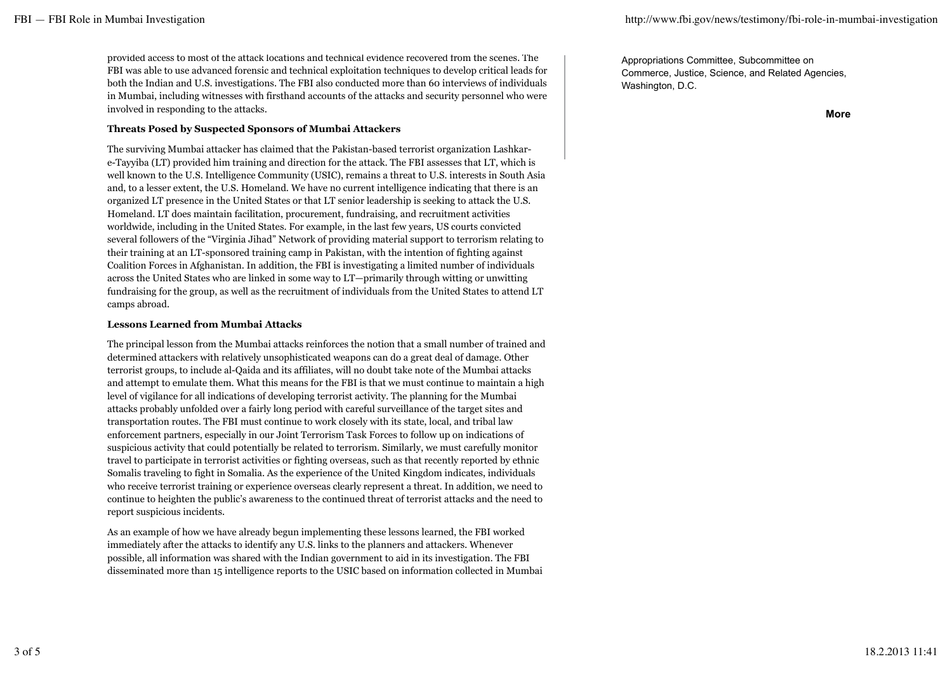provided access to most of the attack locations and technical evidence recovered from the scenes. The FBI was able to use advanced forensic and technical exploitation techniques to develop critical leads for both the Indian and U.S. investigations. The FBI also conducted more than 60 interviews of individuals in Mumbai, including witnesses with firsthand accounts of the attacks and security personnel who were involved in responding to the attacks.

## **Threats Posed by Suspected Sponsors of Mumbai Attackers**

The surviving Mumbai attacker has claimed that the Pakistan-based terrorist organization Lashkare-Tayyiba (LT) provided him training and direction for the attack. The FBI assesses that LT, which is well known to the U.S. Intelligence Community (USIC), remains a threat to U.S. interests in South Asia and, to a lesser extent, the U.S. Homeland. We have no current intelligence indicating that there is an organized LT presence in the United States or that LT senior leadership is seeking to attack the U.S. Homeland. LT does maintain facilitation, procurement, fundraising, and recruitment activities worldwide, including in the United States. For example, in the last few years, US courts convicted several followers of the "Virginia Jihad" Network of providing material support to terrorism relating to their training at an LT-sponsored training camp in Pakistan, with the intention of fighting against Coalition Forces in Afghanistan. In addition, the FBI is investigating a limited number of individuals across the United States who are linked in some way to LT—primarily through witting or unwitting fundraising for the group, as well as the recruitment of individuals from the United States to attend LT camps abroad.

### **Lessons Learned from Mumbai Attacks**

The principal lesson from the Mumbai attacks reinforces the notion that a small number of trained and determined attackers with relatively unsophisticated weapons can do a great deal of damage. Other terrorist groups, to include al-Qaida and its affiliates, will no doubt take note of the Mumbai attacks and attempt to emulate them. What this means for the FBI is that we must continue to maintain a high level of vigilance for all indications of developing terrorist activity. The planning for the Mumbai attacks probably unfolded over a fairly long period with careful surveillance of the target sites and transportation routes. The FBI must continue to work closely with its state, local, and tribal law enforcement partners, especially in our Joint Terrorism Task Forces to follow up on indications of suspicious activity that could potentially be related to terrorism. Similarly, we must carefully monitor travel to participate in terrorist activities or fighting overseas, such as that recently reported by ethnic Somalis traveling to fight in Somalia. As the experience of the United Kingdom indicates, individuals who receive terrorist training or experience overseas clearly represent a threat. In addition, we need to continue to heighten the public's awareness to the continued threat of terrorist attacks and the need to report suspicious incidents.

As an example of how we have already begun implementing these lessons learned, the FBI worked immediately after the attacks to identify any U.S. links to the planners and attackers. Whenever possible, all information was shared with the Indian government to aid in its investigation. The FBI disseminated more than 15 intelligence reports to the USIC based on information collected in Mumbai Appropriations Committee, Subcommittee on Commerce, Justice, Science, and Related Agencies, Washington, D.C.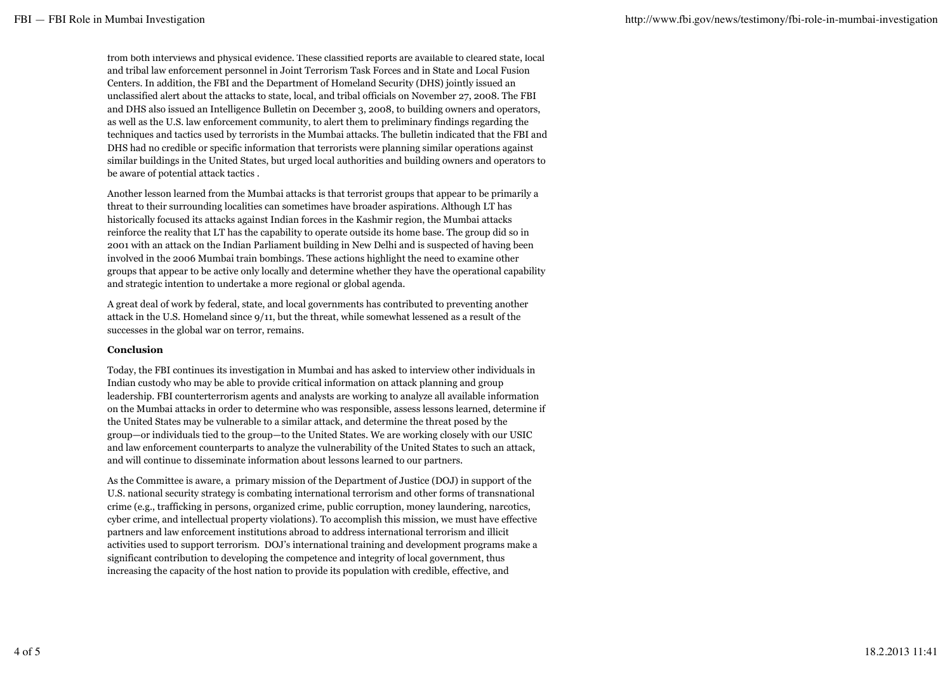from both interviews and physical evidence. These classified reports are available to cleared state, local and tribal law enforcement personnel in Joint Terrorism Task Forces and in State and Local Fusion Centers. In addition, the FBI and the Department of Homeland Security (DHS) jointly issued an unclassified alert about the attacks to state, local, and tribal officials on November 27, 2008. The FBI and DHS also issued an Intelligence Bulletin on December 3, 2008, to building owners and operators, as well as the U.S. law enforcement community, to alert them to preliminary findings regarding the techniques and tactics used by terrorists in the Mumbai attacks. The bulletin indicated that the FBI and DHS had no credible or specific information that terrorists were planning similar operations against similar buildings in the United States, but urged local authorities and building owners and operators to be aware of potential attack tactics .

Another lesson learned from the Mumbai attacks is that terrorist groups that appear to be primarily a threat to their surrounding localities can sometimes have broader aspirations. Although LT has historically focused its attacks against Indian forces in the Kashmir region, the Mumbai attacks reinforce the reality that LT has the capability to operate outside its home base. The group did so in 2001 with an attack on the Indian Parliament building in New Delhi and is suspected of having been involved in the 2006 Mumbai train bombings. These actions highlight the need to examine other groups that appear to be active only locally and determine whether they have the operational capability and strategic intention to undertake a more regional or global agenda.

A great deal of work by federal, state, and local governments has contributed to preventing another attack in the U.S. Homeland since 9/11, but the threat, while somewhat lessened as a result of the successes in the global war on terror, remains.

### **Conclusion**

Today, the FBI continues its investigation in Mumbai and has asked to interview other individuals in Indian custody who may be able to provide critical information on attack planning and group leadership. FBI counterterrorism agents and analysts are working to analyze all available information on the Mumbai attacks in order to determine who was responsible, assess lessons learned, determine if the United States may be vulnerable to a similar attack, and determine the threat posed by the group—or individuals tied to the group—to the United States. We are working closely with our USIC and law enforcement counterparts to analyze the vulnerability of the United States to such an attack, and will continue to disseminate information about lessons learned to our partners.

As the Committee is aware, a primary mission of the Department of Justice (DOJ) in support of the U.S. national security strategy is combating international terrorism and other forms of transnational crime (e.g., trafficking in persons, organized crime, public corruption, money laundering, narcotics, cyber crime, and intellectual property violations). To accomplish this mission, we must have effective partners and law enforcement institutions abroad to address international terrorism and illicit activities used to support terrorism. DOJ's international training and development programs make a significant contribution to developing the competence and integrity of local government, thus increasing the capacity of the host nation to provide its population with credible, effective, and